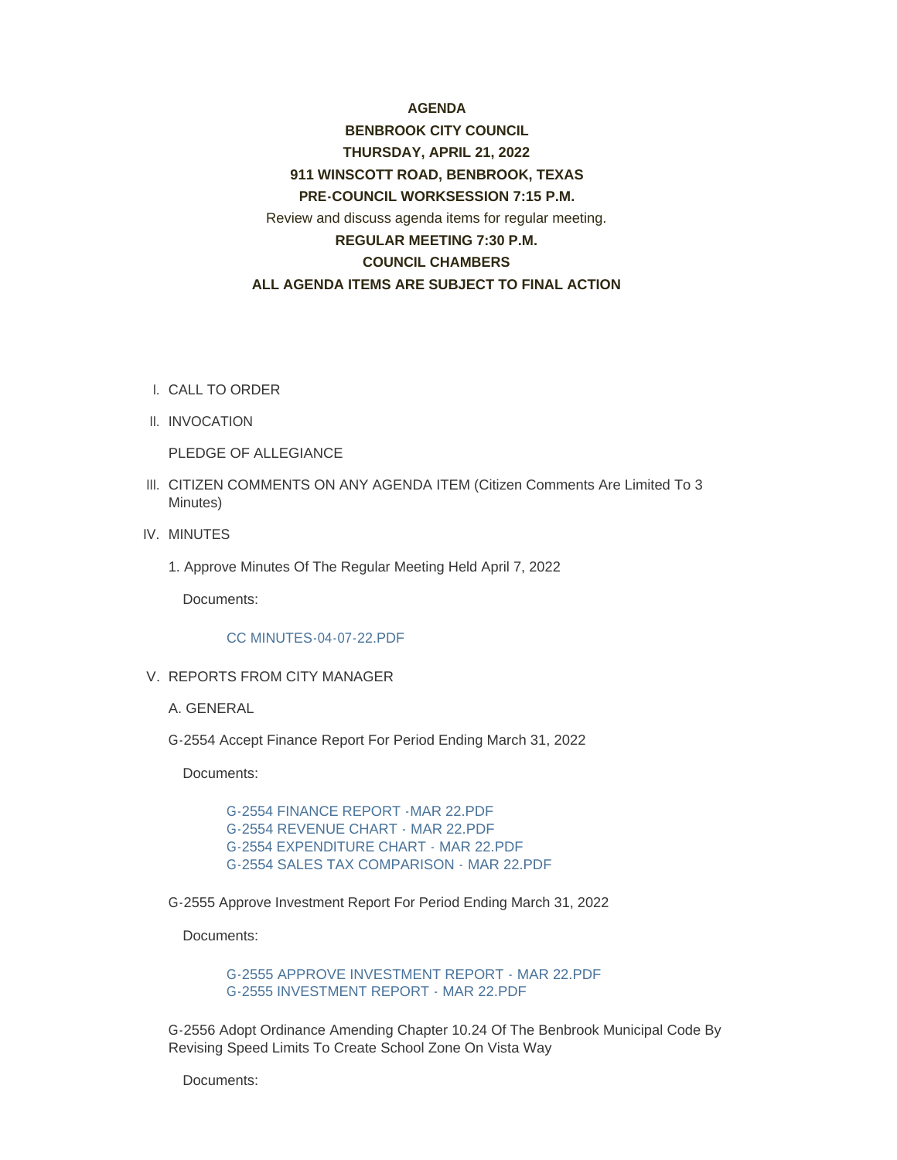## **AGENDA**

# **BENBROOK CITY COUNCIL THURSDAY, APRIL 21, 2022 911 WINSCOTT ROAD, BENBROOK, TEXAS PRE-COUNCIL WORKSESSION 7:15 P.M.** Review and discuss agenda items for regular meeting. **REGULAR MEETING 7:30 P.M. COUNCIL CHAMBERS ALL AGENDA ITEMS ARE SUBJECT TO FINAL ACTION**

- CALL TO ORDER I.
- II. INVOCATION

PLEDGE OF ALLEGIANCE

- III. CITIZEN COMMENTS ON ANY AGENDA ITEM (Citizen Comments Are Limited To 3 Minutes)
- IV. MINUTES
	- 1. Approve Minutes Of The Regular Meeting Held April 7, 2022

Documents:

#### [CC MINUTES-04-07-22.PDF](http://www.benbrook-tx.gov/AgendaCenter/ViewFile/Item/6664?fileID=5091)

- V. REPORTS FROM CITY MANAGER
	- A. GENERAL
	- G-2554 Accept Finance Report For Period Ending March 31, 2022

Documents:

[G-2554 FINANCE REPORT -MAR 22.PDF](http://www.benbrook-tx.gov/AgendaCenter/ViewFile/Item/6665?fileID=5093) [G-2554 REVENUE CHART - MAR 22.PDF](http://www.benbrook-tx.gov/AgendaCenter/ViewFile/Item/6665?fileID=5094) [G-2554 EXPENDITURE CHART - MAR 22.PDF](http://www.benbrook-tx.gov/AgendaCenter/ViewFile/Item/6665?fileID=5092) [G-2554 SALES TAX COMPARISON - MAR 22.PDF](http://www.benbrook-tx.gov/AgendaCenter/ViewFile/Item/6665?fileID=5095)

G-2555 Approve Investment Report For Period Ending March 31, 2022

Documents:

[G-2555 APPROVE INVESTMENT REPORT - MAR 22.PDF](http://www.benbrook-tx.gov/AgendaCenter/ViewFile/Item/6666?fileID=5096) [G-2555 INVESTMENT REPORT - MAR 22.PDF](http://www.benbrook-tx.gov/AgendaCenter/ViewFile/Item/6666?fileID=5097)

G-2556 Adopt Ordinance Amending Chapter 10.24 Of The Benbrook Municipal Code By Revising Speed Limits To Create School Zone On Vista Way

Documents: